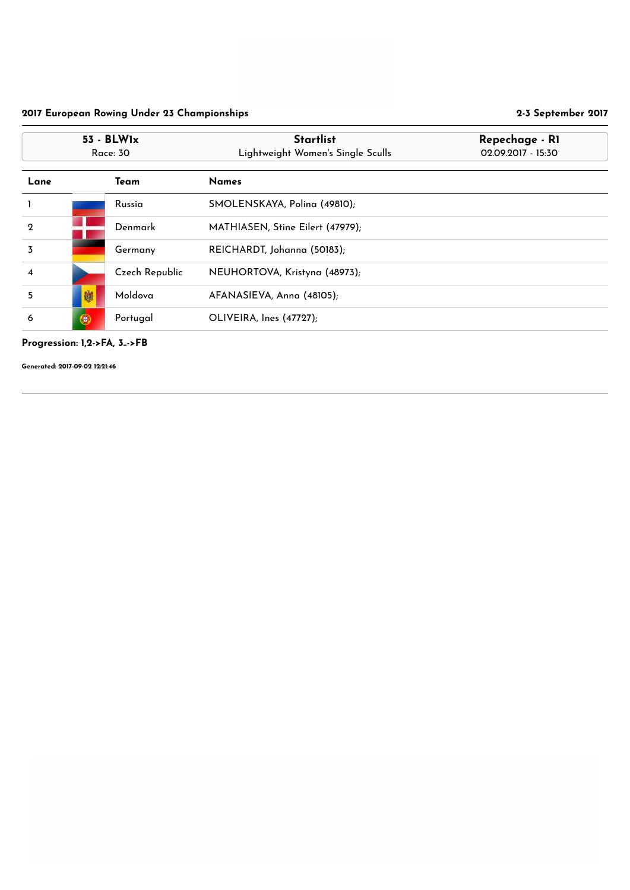#### Progression: 1,2->FA, 3..->FB

| $53 - BLW1x$<br><b>Race: 30</b> |   |                | <b>Startlist</b><br>Lightweight Women's Single Sculls | Repechage - RI<br>02.09.2017 - 15:30 |
|---------------------------------|---|----------------|-------------------------------------------------------|--------------------------------------|
| Lane                            |   | Team           | <b>Names</b>                                          |                                      |
|                                 |   | Russia         | SMOLENSKAYA, Polina (49810);                          |                                      |
| $\boldsymbol{2}$                |   | Denmark        | MATHIASEN, Stine Eilert (47979);                      |                                      |
| $\overline{3}$                  |   | Germany        | REICHARDT, Johanna (50183);                           |                                      |
| 4                               |   | Czech Republic | NEUHORTOVA, Kristyna (48973);                         |                                      |
| 5                               | 卿 | Moldova        | AFANASIEVA, Anna (48105);                             |                                      |
| 6                               | 0 | Portugal       | OLIVEIRA, Ines (47727);                               |                                      |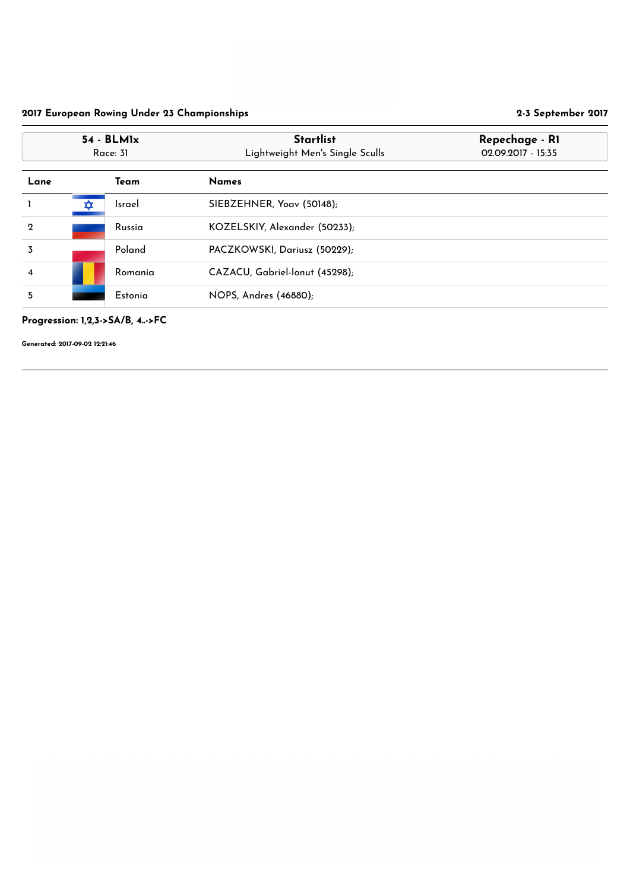Progression: 1,2,3->SA/B, 4..->FC

|                | $54 - BLM1x$<br>Race: 31 |               | <b>Startlist</b><br>Lightweight Men's Single Sculls | Repechage - RI<br>02.09.2017 - 15:35 |
|----------------|--------------------------|---------------|-----------------------------------------------------|--------------------------------------|
| Lane           |                          | Team          | <b>Names</b>                                        |                                      |
|                | ✿                        | <b>Israel</b> | SIEBZEHNER, Yoav (50148);                           |                                      |
| $\mathbf 2$    |                          | Russia        | KOZELSKIY, Alexander (50233);                       |                                      |
| $\overline{3}$ |                          | Poland        | PACZKOWSKI, Dariusz (50229);                        |                                      |
| 4              |                          | Romania       | CAZACU, Gabriel-Ionut (45298);                      |                                      |
| 5              |                          | Estonia       | NOPS, Andres (46880);                               |                                      |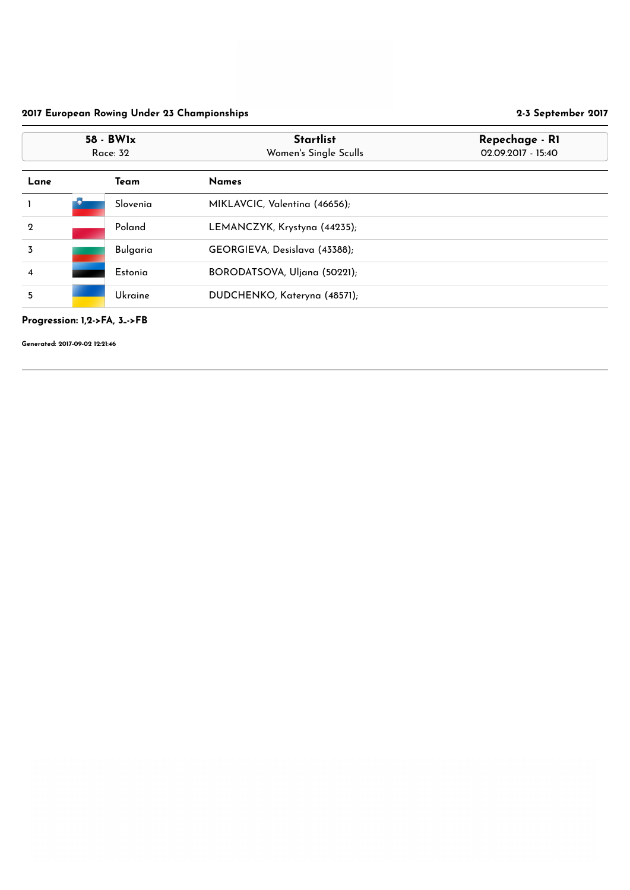Progression: 1,2->FA, 3..->FB

|                | 58 - BW1x<br>Race: 32 | <b>Startlist</b><br>Women's Single Sculls | Repechage - RI<br>02.09.2017 - 15:40 |
|----------------|-----------------------|-------------------------------------------|--------------------------------------|
| Lane           | <b>Team</b>           | <b>Names</b>                              |                                      |
|                | Slovenia              | MIKLAVCIC, Valentina (46656);             |                                      |
| $\mathbf 2$    | Poland                | LEMANCZYK, Krystyna (44235);              |                                      |
| $\overline{3}$ | <b>Bulgaria</b>       | GEORGIEVA, Desislava (43388);             |                                      |
| 4              | Estonia               | BORODATSOVA, Uljana (50221);              |                                      |
| 5              | Ukraine               | DUDCHENKO, Kateryna (48571);              |                                      |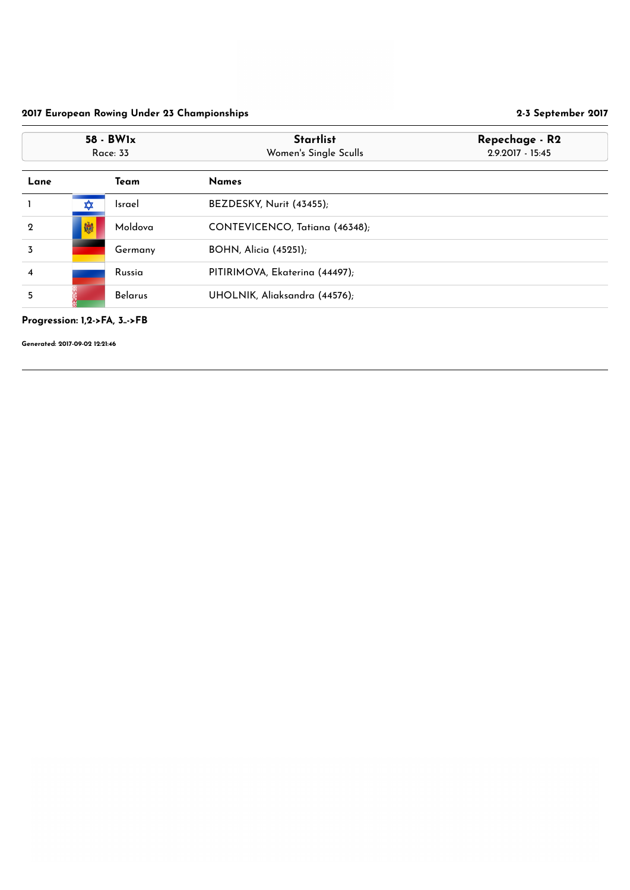Progression: 1,2->FA, 3..->FB

| 58 - BW1x<br><b>Race: 33</b> |   |                | <b>Startlist</b><br>Women's Single Sculls | Repechage - R2<br>2.9.2017 - 15:45 |
|------------------------------|---|----------------|-------------------------------------------|------------------------------------|
| Lane                         |   | Team           | <b>Names</b>                              |                                    |
|                              | ✿ | <b>Israel</b>  | BEZDESKY, Nurit (43455);                  |                                    |
| $\mathbf{2}$                 | 喇 | Moldova        | CONTEVICENCO, Tatiana (46348);            |                                    |
| 3                            |   | Germany        | <b>BOHN, Alicia (45251);</b>              |                                    |
| 4                            |   | Russia         | PITIRIMOVA, Ekaterina (44497);            |                                    |
| 5                            |   | <b>Belarus</b> | UHOLNIK, Aliaksandra (44576);             |                                    |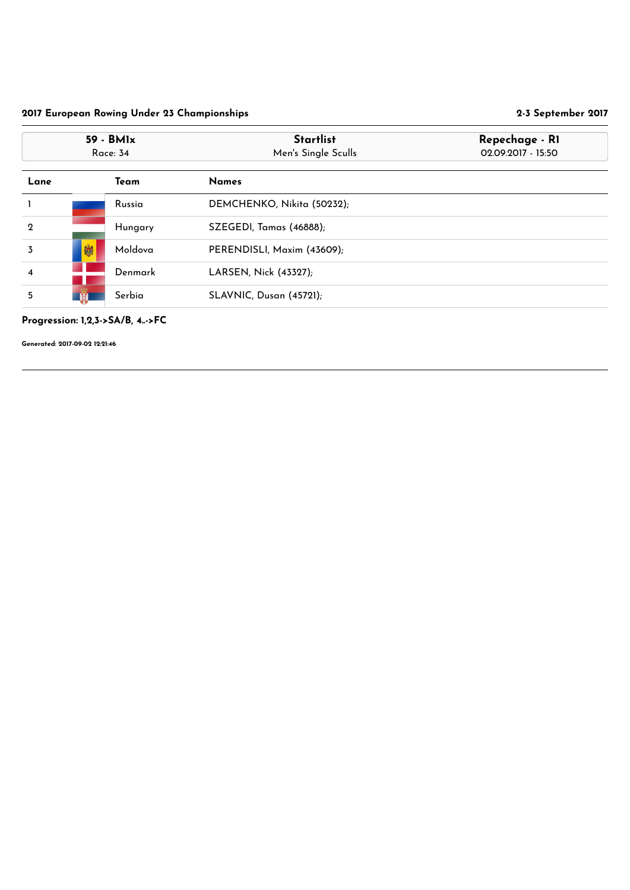Progression: 1,2,3->SA/B, 4..->FC

| 59 - BM1x<br><b>Race: 34</b> |   |         | <b>Startlist</b><br>Men's Single Sculls | Repechage - RI<br>02.09.2017 - 15:50 |
|------------------------------|---|---------|-----------------------------------------|--------------------------------------|
| Lane                         |   | Team    | <b>Names</b>                            |                                      |
|                              |   | Russia  | DEMCHENKO, Nikita (50232);              |                                      |
| $\mathbf 2$                  |   | Hungary | SZEGEDI, Tamas (46888);                 |                                      |
| $\overline{3}$               | 喇 | Moldova | PERENDISLI, Maxim (43609);              |                                      |
| 4                            |   | Denmark | LARSEN, Nick (43327);                   |                                      |
| 5                            |   | Serbia  | SLAVNIC, Dusan (45721);                 |                                      |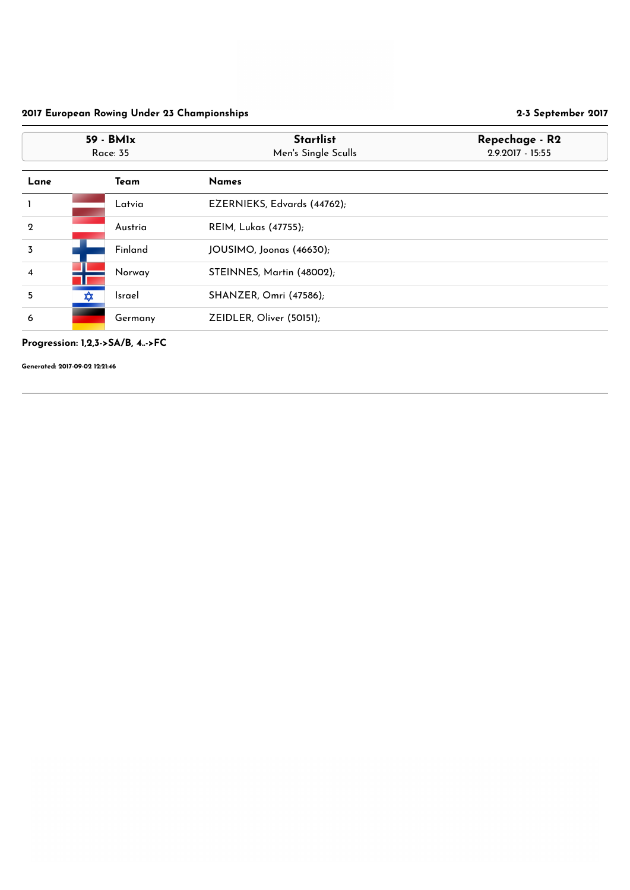#### Progression: 1,2,3->SA/B, 4..->FC

| 59 - BM1x<br><b>Race: 35</b> |          |               | <b>Startlist</b><br>Men's Single Sculls | Repechage - R2<br>2.9.2017 - 15:55 |
|------------------------------|----------|---------------|-----------------------------------------|------------------------------------|
| Lane                         |          | <b>Team</b>   | <b>Names</b>                            |                                    |
|                              |          | Latvia        | EZERNIEKS, Edvards (44762);             |                                    |
| $\boldsymbol{2}$             |          | Austria       | <b>REIM, Lukas (47755);</b>             |                                    |
| $\overline{3}$               |          | Finland       | JOUSIMO, Joonas (46630);                |                                    |
| $\overline{\mathbf{4}}$      |          | Norway        | STEINNES, Martin (48002);               |                                    |
| 5                            | <b>∡</b> | <b>Israel</b> | <b>SHANZER, Omri (47586);</b>           |                                    |
| 6                            |          | Germany       | ZEIDLER, Oliver (50151);                |                                    |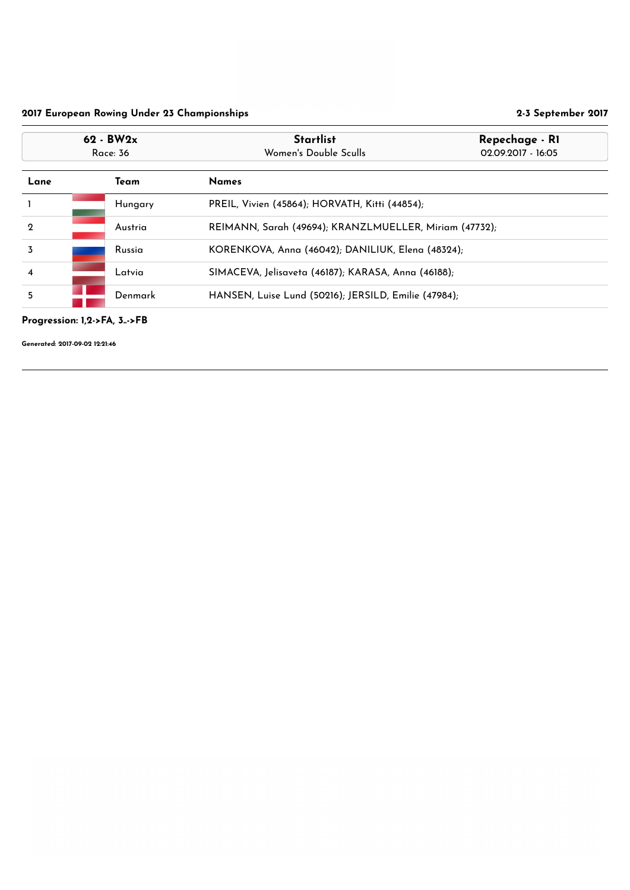Progression: 1,2->FA, 3..->FB

| $62 - BW2x$<br><b>Race: 36</b> |                                                                 |         | <b>Startlist</b><br>Repechage - RI<br>Women's Double Sculls<br>02.09.2017 - 16:05 |  |
|--------------------------------|-----------------------------------------------------------------|---------|-----------------------------------------------------------------------------------|--|
| Lane<br>Team                   |                                                                 |         | <b>Names</b>                                                                      |  |
|                                |                                                                 | Hungary | PREIL, Vivien (45864); HORVATH, Kitti (44854);                                    |  |
| $\mathbf 2$                    |                                                                 | Austria | REIMANN, Sarah (49694); KRANZLMUELLER, Miriam (47732);                            |  |
| 3                              |                                                                 | Russia  | KORENKOVA, Anna (46042); DANILIUK, Elena (48324);                                 |  |
| 4                              |                                                                 | Latvia  | SIMACEVA, Jelisaveta (46187); KARASA, Anna (46188);                               |  |
| 5                              | HANSEN, Luise Lund (50216); JERSILD, Emilie (47984);<br>Denmark |         |                                                                                   |  |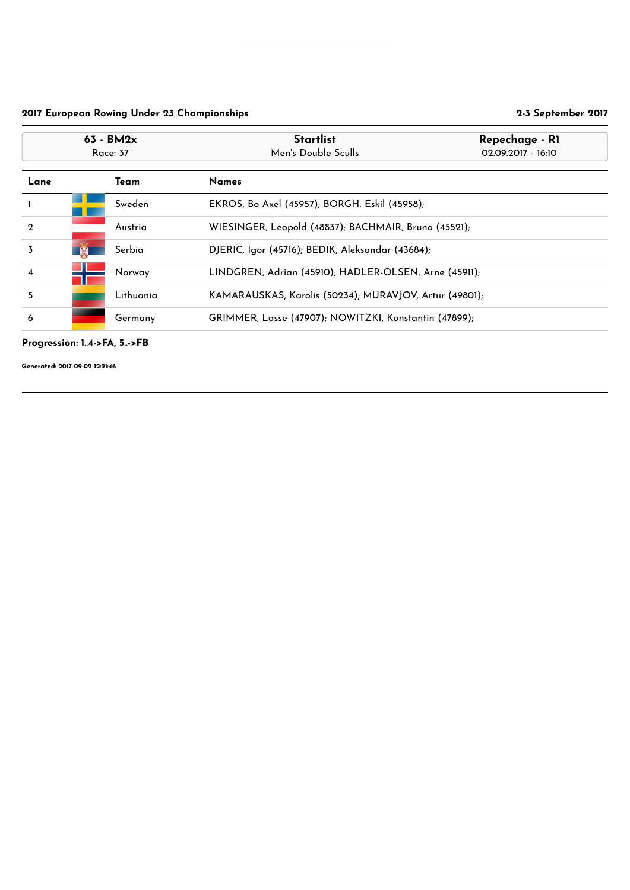#### Progression: 1..4->FA, 5..->FB

| $63 - BM2x$<br>Race: 37 |                                                                 |                                                       | <b>Startlist</b><br>Repechage - RI<br>Men's Double Sculls<br>02.09.2017 - 16:10 |                                               |  |
|-------------------------|-----------------------------------------------------------------|-------------------------------------------------------|---------------------------------------------------------------------------------|-----------------------------------------------|--|
| Team<br>Lane            |                                                                 |                                                       | <b>Names</b>                                                                    |                                               |  |
|                         | Sweden                                                          |                                                       |                                                                                 | EKROS, Bo Axel (45957); BORGH, Eskil (45958); |  |
| $\overline{2}$          |                                                                 | Austria                                               | WIESINGER, Leopold (48837); BACHMAIR, Bruno (45521);                            |                                               |  |
| $\overline{3}$          | <b>AR</b>                                                       | Serbia                                                | DJERIC, Igor (45716); BEDIK, Aleksandar (43684);                                |                                               |  |
| $\overline{\mathbf{4}}$ | LINDGREN, Adrian (45910); HADLER-OLSEN, Arne (45911);<br>Norway |                                                       |                                                                                 |                                               |  |
| 5                       |                                                                 | Lithuania                                             | KAMARAUSKAS, Karolis (50234); MURAVJOV, Artur (49801);                          |                                               |  |
| 6<br>Germany            |                                                                 | GRIMMER, Lasse (47907); NOWITZKI, Konstantin (47899); |                                                                                 |                                               |  |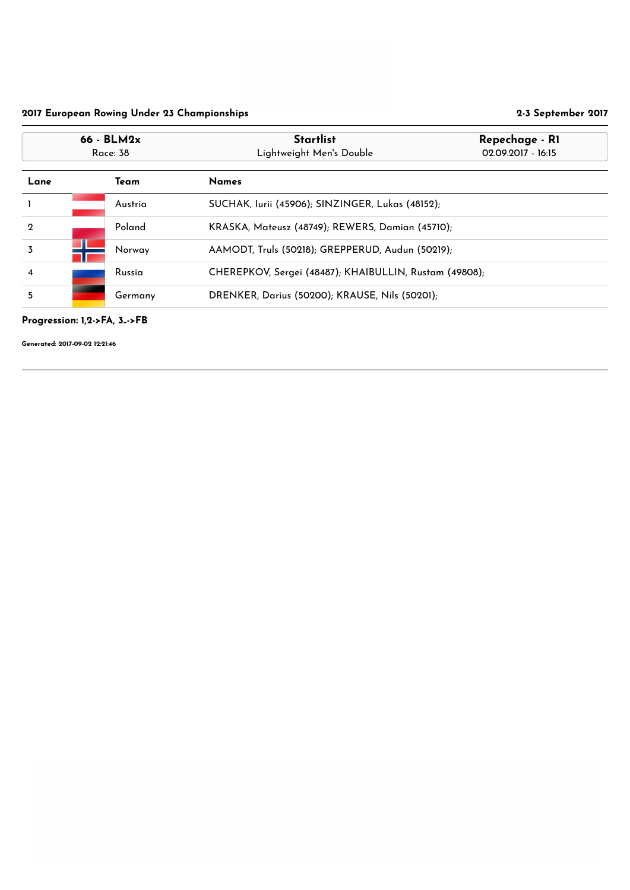Progression: 1,2->FA, 3..->FB

| $66 - BLM2x$<br>Race: 38 |                                                           |         | <b>Startlist</b><br>Repechage - RI<br>Lightweight Men's Double<br>02.09.2017 - 16:15 |  |
|--------------------------|-----------------------------------------------------------|---------|--------------------------------------------------------------------------------------|--|
| Lane                     |                                                           | Team    | <b>Names</b>                                                                         |  |
|                          |                                                           | Austria | SUCHAK, Iurii (45906); SINZINGER, Lukas (48152);                                     |  |
| $\mathbf 2$              |                                                           | Poland  | KRASKA, Mateusz (48749); REWERS, Damian (45710);                                     |  |
| 3                        |                                                           | Norway  | AAMODT, Truls (50218); GREPPERUD, Audun (50219);                                     |  |
| $\overline{4}$           |                                                           | Russia  | CHEREPKOV, Sergei (48487); KHAIBULLIN, Rustam (49808);                               |  |
| 5                        | DRENKER, Darius (50200); KRAUSE, Nils (50201);<br>Germany |         |                                                                                      |  |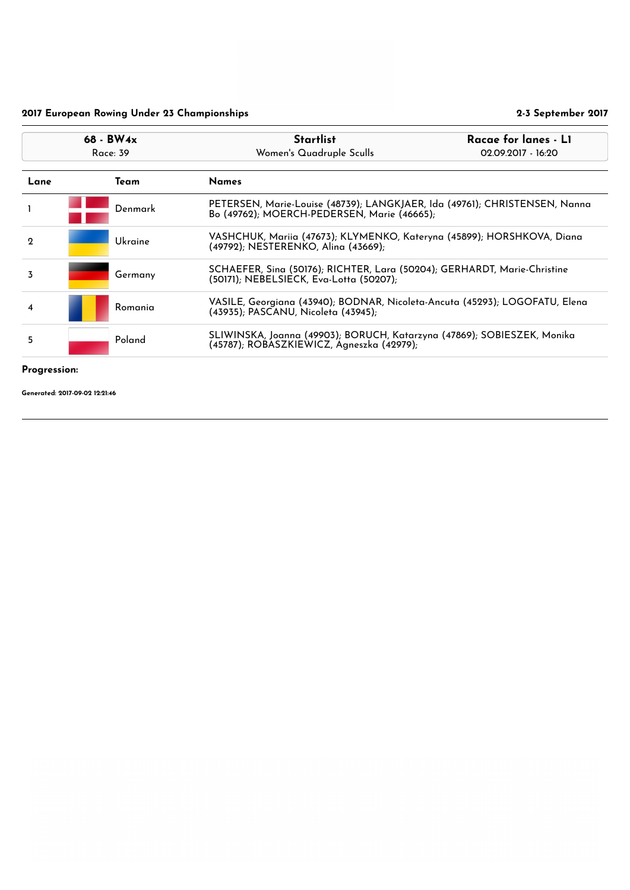Progression:

|                              | 68 - BW4x<br>Race: 39                                                                                                          | <b>Startlist</b><br>Women's Quadruple Sculls                                                                              | Racae for lanes - L1<br>02.09.2017 - 16:20                             |  |
|------------------------------|--------------------------------------------------------------------------------------------------------------------------------|---------------------------------------------------------------------------------------------------------------------------|------------------------------------------------------------------------|--|
| Lane<br><b>Names</b><br>Team |                                                                                                                                |                                                                                                                           |                                                                        |  |
|                              | Denmark                                                                                                                        | PETERSEN, Marie-Louise (48739); LANGKJAER, Ida (49761); CHRISTENSEN, Nanna<br>Bo (49762); MOERCH-PEDERSEN, Marie (46665); |                                                                        |  |
| $\mathbf 2$                  | <b>Ukraine</b>                                                                                                                 | (49792); NESTERENKO, Alina (43669);                                                                                       | VASHCHUK, Mariia (47673); KLYMENKO, Kateryna (45899); HORSHKOVA, Diana |  |
| 3                            | Germany                                                                                                                        | SCHAEFER, Sina (50176); RICHTER, Lara (50204); GERHARDT, Marie-Christine<br>(50171); NEBELSIECK, Eva-Lotta (50207);       |                                                                        |  |
| 4                            | Romania                                                                                                                        | VASILE, Georgiana (43940); BODNAR, Nicoleta-Ancuta (45293); LOGOFATU, Elena<br>(43935); PASCANU, Nicoleta (43945);        |                                                                        |  |
| 5                            | SLIWINSKA, Joanna (49903); BORUCH, Katarzyna (47869); SOBIESZEK, Monika<br>Poland<br>(45787); ROBASZKIEWICZ, Agneszka (42979); |                                                                                                                           |                                                                        |  |
|                              |                                                                                                                                |                                                                                                                           |                                                                        |  |